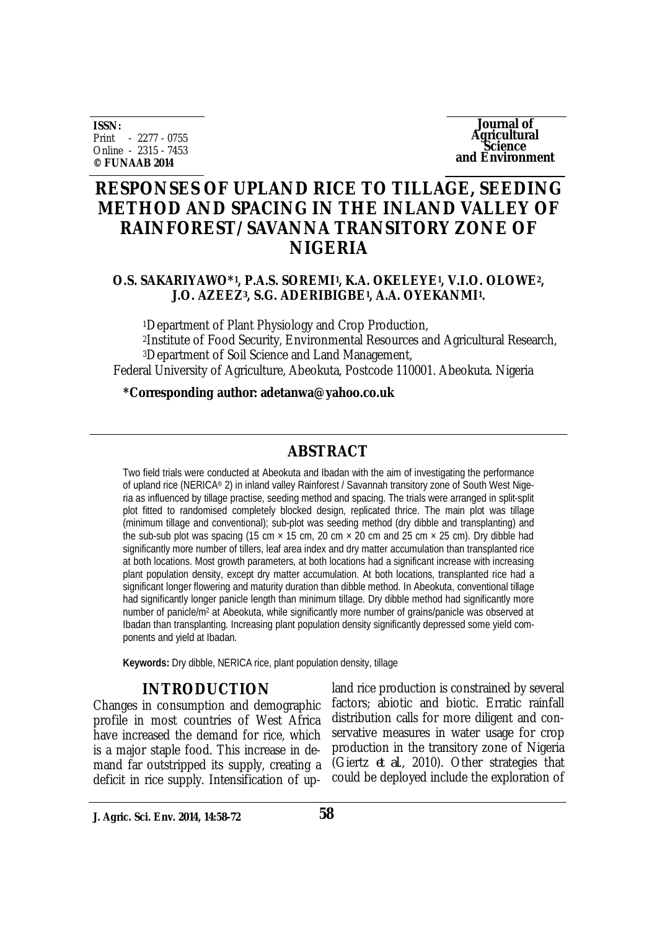**ISSN:** Print - 2277 - 0755 Online - 2315 - 7453 **© FUNAAB 2014**

**Journal of Agricultural Science and Environment**

# **RESPONSES OF UPLAND RICE TO TILLAGE, SEEDING METHOD AND SPACING IN THE INLAND VALLEY OF RAINFOREST/SAVANNA TRANSITORY ZONE OF NIGERIA**

### **O.S. SAKARIYAWO\*<sup>1</sup> , P.A.S. SOREMI<sup>1</sup> , K.A. OKELEYE<sup>1</sup> , V.I.O. OLOWE2, J.O. AZEEZ3, S.G. ADERIBIGBE<sup>1</sup> , A.A. OYEKANMI<sup>1</sup> .**

Department of Plant Physiology and Crop Production, Institute of Food Security, Environmental Resources and Agricultural Research, Department of Soil Science and Land Management, Federal University of Agriculture, Abeokuta, Postcode 110001. Abeokuta. Nigeria

**\*Corresponding author: adetanwa@yahoo.co.uk**

## **ABSTRACT**

Two field trials were conducted at Abeokuta and Ibadan with the aim of investigating the performance of upland rice (NERICA® 2) in inland valley Rainforest / Savannah transitory zone of South West Nigeria as influenced by tillage practise, seeding method and spacing. The trials were arranged in split-split plot fitted to randomised completely blocked design, replicated thrice. The main plot was tillage (minimum tillage and conventional); sub-plot was seeding method (dry dibble and transplanting) and the sub-sub plot was spacing (15 cm  $\times$  15 cm, 20 cm  $\times$  20 cm and 25 cm  $\times$  25 cm). Dry dibble had significantly more number of tillers, leaf area index and dry matter accumulation than transplanted rice at both locations. Most growth parameters, at both locations had a significant increase with increasing plant population density, except dry matter accumulation. At both locations, transplanted rice had a significant longer flowering and maturity duration than dibble method. In Abeokuta, conventional tillage had significantly longer panicle length than minimum tillage. Dry dibble method had significantly more number of panicle/m<sup>2</sup> at Abeokuta, while significantly more number of grains/panicle was observed at Ibadan than transplanting. Increasing plant population density significantly depressed some yield components and yield at Ibadan.

**Keywords:** Dry dibble, NERICA rice, plant population density, tillage

## **INTRODUCTION**

Changes in consumption and demographic profile in most countries of West Africa have increased the demand for rice, which is a major staple food. This increase in demand far outstripped its supply, creating a deficit in rice supply. Intensification of up-

land rice production is constrained by several factors; abiotic and biotic. Erratic rainfall distribution calls for more diligent and conservative measures in water usage for crop production in the transitory zone of Nigeria (Giertz *et al*., 2010). Other strategies that could be deployed include the exploration of

**J. Agric. Sci. Env. 2014, 14:58-72**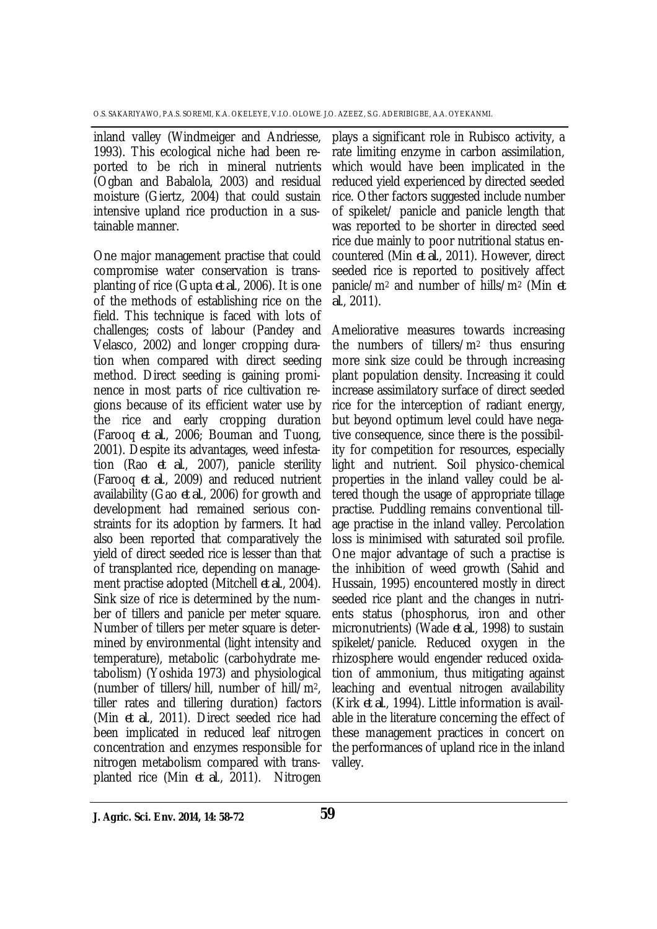inland valley (Windmeiger and Andriesse, 1993). This ecological niche had been reported to be rich in mineral nutrients (Ogban and Babalola, 2003) and residual moisture (Giertz, 2004) that could sustain intensive upland rice production in a sustainable manner.

One major management practise that could compromise water conservation is transplanting of rice (Gupta *et al*., 2006). It is one of the methods of establishing rice on the field. This technique is faced with lots of challenges; costs of labour (Pandey and Velasco, 2002) and longer cropping duration when compared with direct seeding method. Direct seeding is gaining prominence in most parts of rice cultivation regions because of its efficient water use by the rice and early cropping duration (Farooq *et al*., 2006; Bouman and Tuong, 2001). Despite its advantages, weed infestation (Rao *et al*., 2007), panicle sterility (Farooq *et al*., 2009) and reduced nutrient availability (Gao *et al*., 2006) for growth and development had remained serious constraints for its adoption by farmers. It had also been reported that comparatively the yield of direct seeded rice is lesser than that of transplanted rice, depending on management practise adopted (Mitchell *et al*., 2004). Sink size of rice is determined by the number of tillers and panicle per meter square. Number of tillers per meter square is determined by environmental (light intensity and temperature), metabolic (carbohydrate metabolism) (Yoshida 1973) and physiological (number of tillers/hill, number of hill/m2, tiller rates and tillering duration) factors (Min *et al*., 2011). Direct seeded rice had been implicated in reduced leaf nitrogen concentration and enzymes responsible for nitrogen metabolism compared with transplanted rice (Min *et al*., 2011). Nitrogen

plays a significant role in Rubisco activity, a rate limiting enzyme in carbon assimilation, which would have been implicated in the reduced yield experienced by directed seeded rice. Other factors suggested include number of spikelet/ panicle and panicle length that was reported to be shorter in directed seed rice due mainly to poor nutritional status encountered (Min *et al*., 2011). However, direct seeded rice is reported to positively affect panicle/m<sup>2</sup> and number of hills/m<sup>2</sup> (Min *et al*., 2011).

Ameliorative measures towards increasing the numbers of tillers/m<sup>2</sup> thus ensuring more sink size could be through increasing plant population density. Increasing it could increase assimilatory surface of direct seeded rice for the interception of radiant energy, but beyond optimum level could have negative consequence, since there is the possibility for competition for resources, especially light and nutrient. Soil physico-chemical properties in the inland valley could be altered though the usage of appropriate tillage practise. Puddling remains conventional tillage practise in the inland valley. Percolation loss is minimised with saturated soil profile. One major advantage of such a practise is the inhibition of weed growth (Sahid and Hussain, 1995) encountered mostly in direct seeded rice plant and the changes in nutrients status (phosphorus, iron and other micronutrients) (Wade *et al*., 1998) to sustain spikelet/panicle. Reduced oxygen in the rhizosphere would engender reduced oxidation of ammonium, thus mitigating against leaching and eventual nitrogen availability (Kirk *et al*., 1994). Little information is available in the literature concerning the effect of these management practices in concert on the performances of upland rice in the inland valley.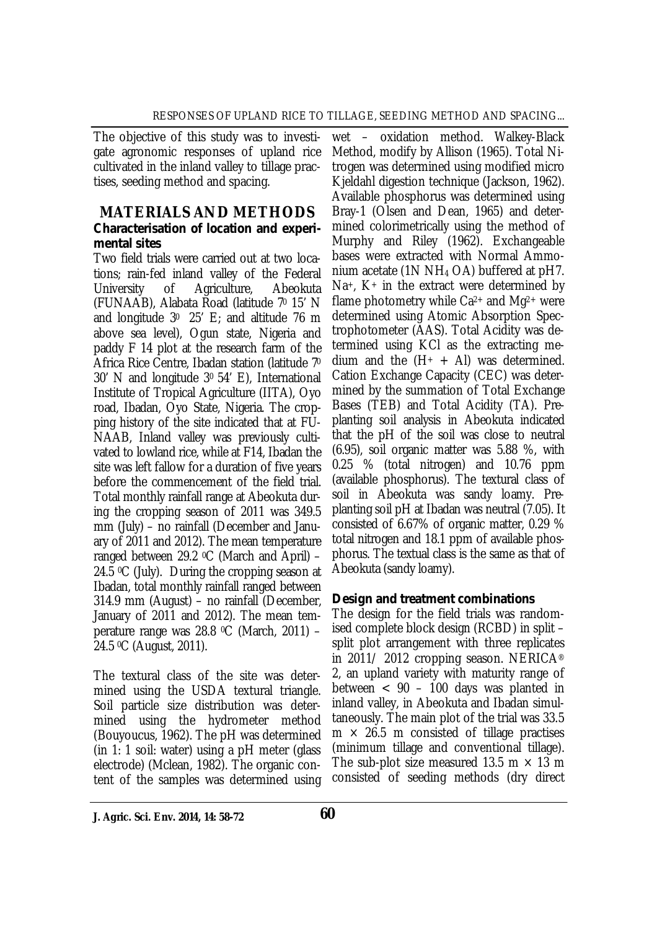The objective of this study was to investigate agronomic responses of upland rice cultivated in the inland valley to tillage practises, seeding method and spacing.

### **MATERIALS AND METHODS** *Characterisation of location and experimental sites*

Two field trials were carried out at two locations; rain-fed inland valley of the Federal University of Agriculture, Abeokuta (FUNAAB), Alabata Road (latitude 7<sup>0</sup> 15' N and longitude  $3^{\circ}$  25' E; and altitude 76 m above sea level), Ogun state, Nigeria and paddy F 14 plot at the research farm of the Africa Rice Centre, Ibadan station (latitude 7<sup>0</sup> 30' N and longitude 30 54' E), International Institute of Tropical Agriculture (IITA), Oyo road, Ibadan, Oyo State, Nigeria. The cropping history of the site indicated that at FU-NAAB, Inland valley was previously cultivated to lowland rice, while at F14, Ibadan the site was left fallow for a duration of five years before the commencement of the field trial. Total monthly rainfall range at Abeokuta during the cropping season of 2011 was 349.5 mm (July) – no rainfall (December and January of 2011 and 2012). The mean temperature ranged between 29.2 0C (March and April) – 24.5  $\degree$ C (July). During the cropping season at Ibadan, total monthly rainfall ranged between 314.9 mm (August) – no rainfall (December, January of 2011 and 2012). The mean temperature range was  $28.8$  °C (March, 2011) – 24.5 0C (August, 2011).

The textural class of the site was determined using the USDA textural triangle. Soil particle size distribution was determined using the hydrometer method (Bouyoucus, 1962). The pH was determined (in 1: 1 soil: water) using a pH meter (glass electrode) (Mclean, 1982). The organic content of the samples was determined using

wet – oxidation method. Walkey-Black Method, modify by Allison (1965). Total Nitrogen was determined using modified micro Kjeldahl digestion technique (Jackson, 1962). Available phosphorus was determined using Bray-1 (Olsen and Dean, 1965) and determined colorimetrically using the method of Murphy and Riley (1962). Exchangeable bases were extracted with Normal Ammonium acetate (1N NH<sup>4</sup> OA) buffered at pH7.  $Na<sup>+</sup>$ , K<sup>+</sup> in the extract were determined by flame photometry while  $Ca^{2+}$  and  $Mg^{2+}$  were determined using Atomic Absorption Spectrophotometer (AAS). Total Acidity was determined using KCl as the extracting medium and the  $(H<sup>+</sup> + Al)$  was determined. Cation Exchange Capacity (CEC) was determined by the summation of Total Exchange Bases (TEB) and Total Acidity (TA). Preplanting soil analysis in Abeokuta indicated that the pH of the soil was close to neutral (6.95), soil organic matter was 5.88 %, with 0.25 % (total nitrogen) and 10.76 ppm (available phosphorus). The textural class of soil in Abeokuta was sandy loamy. Preplanting soil pH at Ibadan was neutral (7.05). It consisted of 6.67% of organic matter, 0.29 % total nitrogen and 18.1 ppm of available phosphorus. The textual class is the same as that of Abeokuta (sandy loamy).

### *Design and treatment combinations*

The design for the field trials was randomised complete block design (RCBD) in split – split plot arrangement with three replicates in 2011/ 2012 cropping season. NERICA® 2, an upland variety with maturity range of between < 90 – 100 days was planted in inland valley, in Abeokuta and Ibadan simultaneously. The main plot of the trial was 33.5  $m \times 26.5$  m consisted of tillage practises (minimum tillage and conventional tillage). The sub-plot size measured 13.5 m  $\times$  13 m consisted of seeding methods (dry direct

**J. Agric. Sci. Env. 2014, 14: 58-72 60**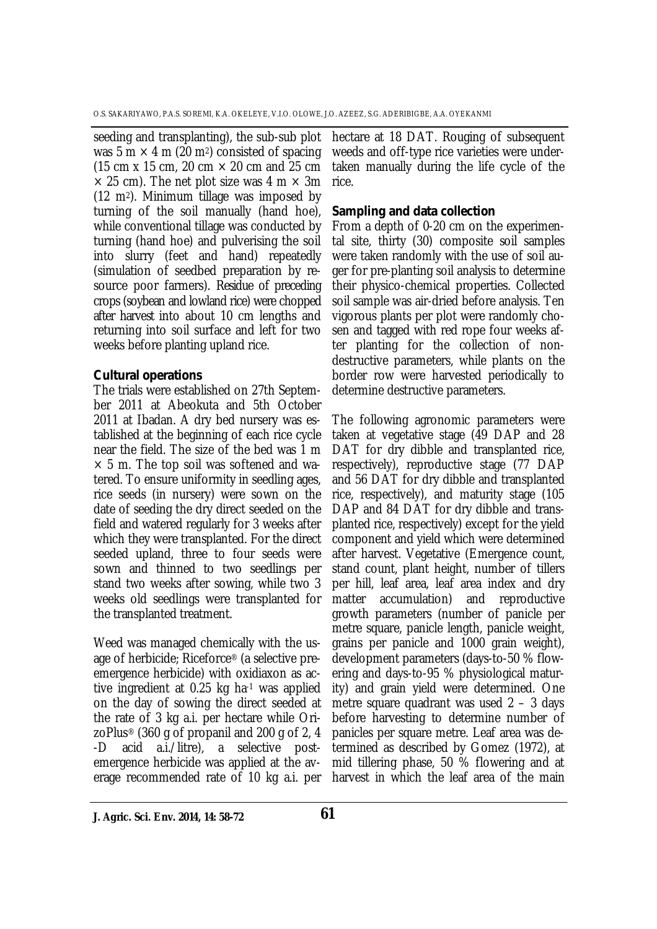seeding and transplanting), the sub-sub plot was 5 m  $\times$  4 m (20 m<sup>2</sup>) consisted of spacing (15 cm x 15 cm, 20 cm  $\times$  20 cm and 25 cm  $\times$  25 cm). The net plot size was 4 m  $\times$  3m (12 m2). Minimum tillage was imposed by turning of the soil manually (hand hoe), while conventional tillage was conducted by turning (hand hoe) and pulverising the soil into slurry (feet and hand) repeatedly (simulation of seedbed preparation by resource poor farmers). Residue of preceding crops (soybean and lowland rice) were chopped after harvest into about 10 cm lengths and returning into soil surface and left for two weeks before planting upland rice.

#### *Cultural operations*

The trials were established on 27th September 2011 at Abeokuta and 5th October 2011 at Ibadan. A dry bed nursery was established at the beginning of each rice cycle near the field. The size of the bed was 1 m  $\times$  5 m. The top soil was softened and watered. To ensure uniformity in seedling ages, rice seeds (in nursery) were sown on the date of seeding the dry direct seeded on the field and watered regularly for 3 weeks after which they were transplanted. For the direct seeded upland, three to four seeds were sown and thinned to two seedlings per stand two weeks after sowing, while two 3 weeks old seedlings were transplanted for the transplanted treatment.

Weed was managed chemically with the usage of herbicide; Riceforce® (a selective preemergence herbicide) with oxidiaxon as active ingredient at 0.25 kg ha-1 was applied on the day of sowing the direct seeded at the rate of 3 kg a.i. per hectare while OrizoPlus® (360 g of propanil and 200 g of 2, 4 -D acid a.i./litre), a selective postemergence herbicide was applied at the average recommended rate of 10 kg a.i. per

hectare at 18 DAT. Rouging of subsequent weeds and off-type rice varieties were undertaken manually during the life cycle of the rice.

### *Sampling and data collection*

From a depth of 0-20 cm on the experimental site, thirty (30) composite soil samples were taken randomly with the use of soil auger for pre-planting soil analysis to determine their physico-chemical properties. Collected soil sample was air-dried before analysis. Ten vigorous plants per plot were randomly chosen and tagged with red rope four weeks after planting for the collection of nondestructive parameters, while plants on the border row were harvested periodically to determine destructive parameters.

The following agronomic parameters were taken at vegetative stage (49 DAP and 28 DAT for dry dibble and transplanted rice, respectively), reproductive stage (77 DAP and 56 DAT for dry dibble and transplanted rice, respectively), and maturity stage (105 DAP and 84 DAT for dry dibble and transplanted rice, respectively) except for the yield component and yield which were determined after harvest. Vegetative (Emergence count, stand count, plant height, number of tillers per hill, leaf area, leaf area index and dry matter accumulation) and reproductive growth parameters (number of panicle per metre square, panicle length, panicle weight, grains per panicle and 1000 grain weight), development parameters (days-to-50 % flowering and days-to-95 % physiological maturity) and grain yield were determined. One metre square quadrant was used 2 – 3 days before harvesting to determine number of panicles per square metre. Leaf area was determined as described by Gomez (1972), at mid tillering phase, 50 % flowering and at harvest in which the leaf area of the main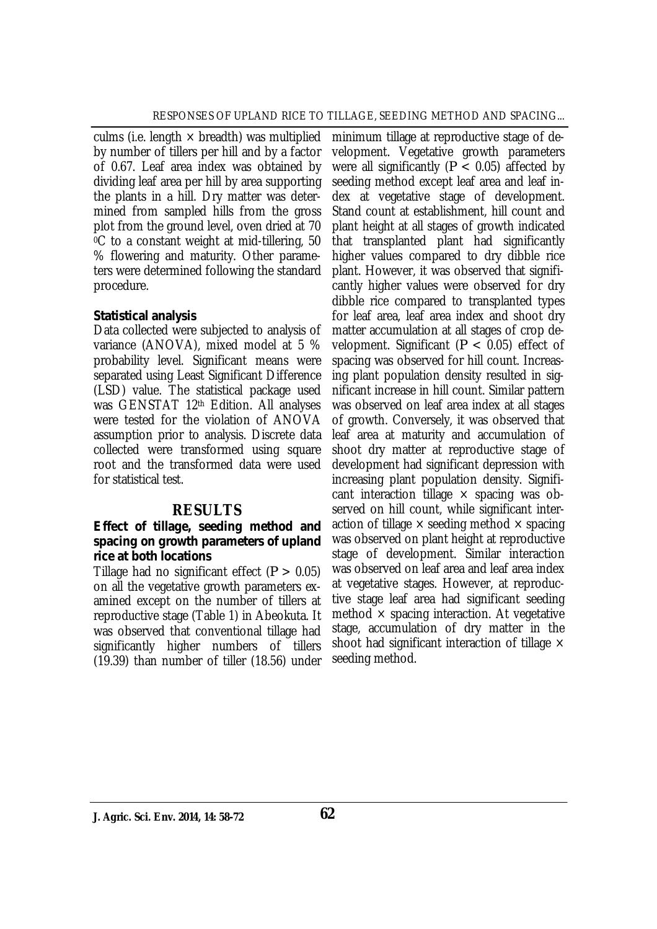culms (i.e. length  $\times$  breadth) was multiplied by number of tillers per hill and by a factor of 0.67. Leaf area index was obtained by dividing leaf area per hill by area supporting the plants in a hill. Dry matter was determined from sampled hills from the gross plot from the ground level, oven dried at 70 <sup>0</sup>C to a constant weight at mid-tillering, 50 % flowering and maturity. Other parameters were determined following the standard procedure.

### *Statistical analysis*

Data collected were subjected to analysis of variance (ANOVA), mixed model at 5 % probability level. Significant means were separated using Least Significant Difference (LSD) value. The statistical package used was GENSTAT 12th Edition. All analyses were tested for the violation of ANOVA assumption prior to analysis. Discrete data collected were transformed using square root and the transformed data were used for statistical test.

### **RESULTS**

#### *Effect of tillage, seeding method and spacing on growth parameters of upland rice at both locations*

Tillage had no significant effect (*P* > 0.05) on all the vegetative growth parameters examined except on the number of tillers at reproductive stage (Table 1) in Abeokuta. It was observed that conventional tillage had significantly higher numbers of tillers (19.39) than number of tiller (18.56) under

minimum tillage at reproductive stage of development. Vegetative growth parameters were all significantly ( $P < 0.05$ ) affected by seeding method except leaf area and leaf index at vegetative stage of development. Stand count at establishment, hill count and plant height at all stages of growth indicated that transplanted plant had significantly higher values compared to dry dibble rice plant. However, it was observed that significantly higher values were observed for dry dibble rice compared to transplanted types for leaf area, leaf area index and shoot dry matter accumulation at all stages of crop development. Significant (*P* < 0.05) effect of spacing was observed for hill count. Increasing plant population density resulted in significant increase in hill count. Similar pattern was observed on leaf area index at all stages of growth. Conversely, it was observed that leaf area at maturity and accumulation of shoot dry matter at reproductive stage of development had significant depression with increasing plant population density. Significant interaction tillage  $\times$  spacing was observed on hill count, while significant interaction of tillage  $\times$  seeding method  $\times$  spacing was observed on plant height at reproductive stage of development. Similar interaction was observed on leaf area and leaf area index at vegetative stages. However, at reproductive stage leaf area had significant seeding method  $\times$  spacing interaction. At vegetative stage, accumulation of dry matter in the shoot had significant interaction of tillage  $\times$ seeding method.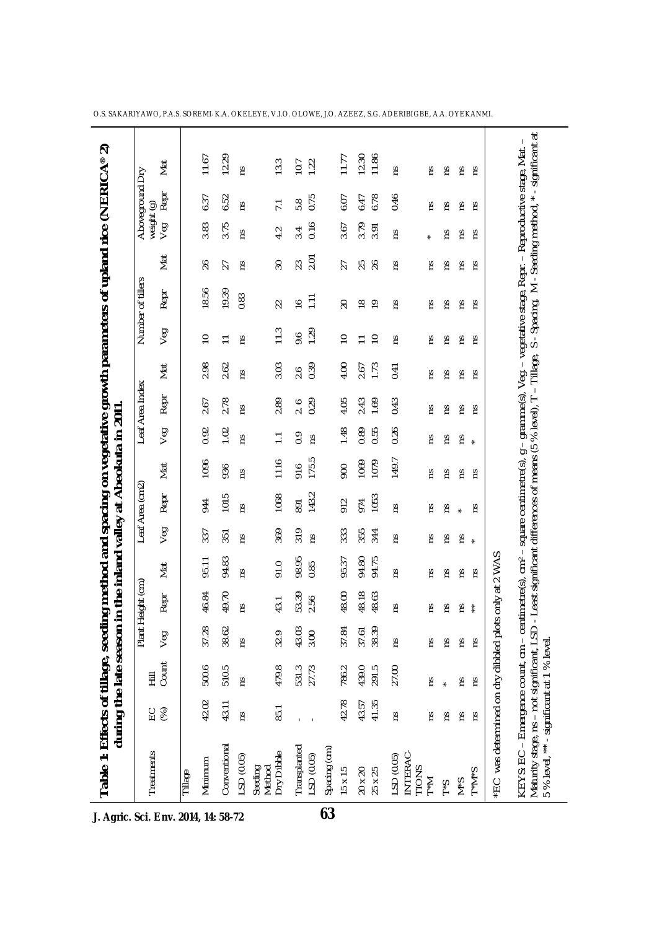| Table 1: Effects of tillage, seed                                                                                                                                                                                                                                                                                                     |           | during the late season | Plant | in the inland valley at Abeokuta in 2011<br>Height (cm |       |     | Leaf Area (cm2) |       |                | Leaf Area Index |      |                | ing method and spacing on vegetative growth parameters of upland rice (NERICA®<br>Number of tillers |           |                   | Aboveground     | 2<br>ΔŊ               |
|---------------------------------------------------------------------------------------------------------------------------------------------------------------------------------------------------------------------------------------------------------------------------------------------------------------------------------------|-----------|------------------------|-------|--------------------------------------------------------|-------|-----|-----------------|-------|----------------|-----------------|------|----------------|-----------------------------------------------------------------------------------------------------|-----------|-------------------|-----------------|-----------------------|
| Treatments                                                                                                                                                                                                                                                                                                                            | (%)<br>СC | Count<br>퉆             | Veg   | Repr                                                   | Mat   | Veg | Repr            | Mat   | Veg            | Repr            | Mat  | Veg            | Repr                                                                                                | Nat       | weight (g)<br>Veg | Repr            | Mat                   |
| Tillage                                                                                                                                                                                                                                                                                                                               |           |                        |       |                                                        |       |     |                 |       |                |                 |      |                |                                                                                                     |           |                   |                 |                       |
| Minimum                                                                                                                                                                                                                                                                                                                               | 42.02     | 500.6                  | 37.28 | 46.84                                                  | 95.11 | 337 | 944             | 1096  | 0.92           | 2.67            | 2.98 | $\approx$      | 18.56                                                                                               | $\delta$  | 3.83              | 6.37            | 11.67                 |
| Conventional                                                                                                                                                                                                                                                                                                                          | 43.11     | 510.5                  | 38.62 | 49.70                                                  | 94.83 | 351 | 1015            | 936   | 1.02           | 2.78            | 2.62 | Ξ              | 19.39                                                                                               | 27        | 3.75              | 6.52            | 12.29                 |
| LSD (0.05)                                                                                                                                                                                                                                                                                                                            | ξ         | ΓŚ                     | ξ     | ξ                                                      | ξ     | rs  | ξ               | ξ     | ξ              | ξ               | ξ    | Έ              | 0.83                                                                                                | Έ         | Σů                | ξ               | rs                    |
| Dry Dibble<br>Method<br>Seeding                                                                                                                                                                                                                                                                                                       | 85.1      | 479.8                  | 32.9  | 43.1                                                   | 91.0  | 369 | 1068            | 1116  | $\overline{a}$ | 2.89            | 3.03 | 11.3           | 22                                                                                                  | 30        | 4.2               | $\overline{71}$ | 13.3                  |
| Transplanted                                                                                                                                                                                                                                                                                                                          |           | 531.3<br>27.73         | 43.03 | 53.39                                                  | 98.95 | 319 | 891             | 916   | 0.9            | 2.6             | 2.6  | 9.6            | $\frac{6}{1}$                                                                                       | 23        | 3.4               | 5.8             | 10.7                  |
| Spacing (cm)<br>LSD(0.05)                                                                                                                                                                                                                                                                                                             |           |                        | 3.00  | 2.56                                                   | 0.85  | ۲Ś  | 143.2           | 175.5 | ۲Ś             | 0.29            | 0.39 | 1.29           | $\overline{1}$                                                                                      | 2.01      | 0.16              | 0.75            | 1.22                  |
| $15 \times 15$                                                                                                                                                                                                                                                                                                                        | 42.78     | 786.2                  | 37.84 | 48.00                                                  | 95.37 | 333 | 912             | 900   | 1.48           | 4.05            | 4.00 | $\overline{C}$ | $\overline{c}$                                                                                      | 27        | 3.67              | 6.07            | 11.77                 |
| 20 x 20                                                                                                                                                                                                                                                                                                                               | 43.57     | 439.0                  | 37.61 | 48.18                                                  | 94.80 | 355 | 974             | 1069  | 0.89           | 2.43            | 2.67 | $\Xi$          | $\frac{8}{1}$                                                                                       | <b>25</b> | 3.79              | 6.47            | 12.30                 |
| 25 x 25                                                                                                                                                                                                                                                                                                                               | 41.35     | 291.5                  | 38.39 | 48.63                                                  | 94.75 | 344 | 1053            | 1079  | 0.55           | 1.69            | 1.73 | $\overline{C}$ | $\overline{5}$                                                                                      |           | 3.91              | 6.78            | 11.86                 |
| INTERAC-<br>LSD (0.05)<br>TIONS<br>T <sup>*</sup> M                                                                                                                                                                                                                                                                                   | ξ         | 27.00                  | ξ     | rs                                                     | ٢Š    | ۲Ś  | rs              | 149.7 | 0.26           | 0.43            | 0.41 | Έ              | Έ                                                                                                   | Έ         | rs                | 0.46            | rs                    |
|                                                                                                                                                                                                                                                                                                                                       | Σ         | Su                     | ξ     | Su                                                     | Σq    | S   | S               | SU.   | S              | ε               | S    | SU.            | Σq                                                                                                  | Σ         |                   | S,              | SJ                    |
| $5*1$                                                                                                                                                                                                                                                                                                                                 | Σ         | $\ast$                 | ξ     | č                                                      | S,    | ξ   | SJ              | Σ     | rs             | rs              | S,   | Σ              | ξ                                                                                                   | Σ         | č                 | S,              | ۲Ś                    |
| $S*M$                                                                                                                                                                                                                                                                                                                                 | ΓS        | ns                     | Σ     | ςu                                                     | Σ     | ۴.  | $\star$         | Σ     | ۴s             | ΓS              | Σq   | Σ              | ξ                                                                                                   | Σ         | ΓS                | ΓS              | rε                    |
| $S^*M^*T$                                                                                                                                                                                                                                                                                                                             | ΓS        | ns                     | ξ     | $\stackrel{*}{*}$                                      | ξ     |     | Σ               | Έ     |                | Έ               | Σ    | Έ              | ౽                                                                                                   | ౽         | Σ                 | Έ               | ٤                     |
| EC was determined on dry dibbled plots only at 2 WAS                                                                                                                                                                                                                                                                                  |           |                        |       |                                                        |       |     |                 |       |                |                 |      |                |                                                                                                     |           |                   |                 |                       |
| KEYS: EC – Emergence count, cm – centimetre(s), cm <sup>2</sup> – square centimetre(s), g – gramme(s), Veg. – vegetative stage, Repr. – Reproductive stage, Mat.<br>Maturity stage, ns – not significant, LSD - Least significant differenc<br>Maturity stage, ns – not significant, LSD<br>5 % level, ** - significant at 1 % level. |           |                        |       |                                                        |       |     |                 |       |                |                 |      |                |                                                                                                     |           |                   |                 | - significant at<br>ı |

O.S. SAKARIYAWO, P.A.S. SOREMI, K.A. OKELEYE, V.I.O. OLOWE, J.O. AZEEZ, S.G. ADERIBIGBE, A.A. OYEKANMI.

 $\overline{\phantom{0}}$ 

**J. Agric. Sci. Env. 2014, 14: 58-72**

 $\overline{a}$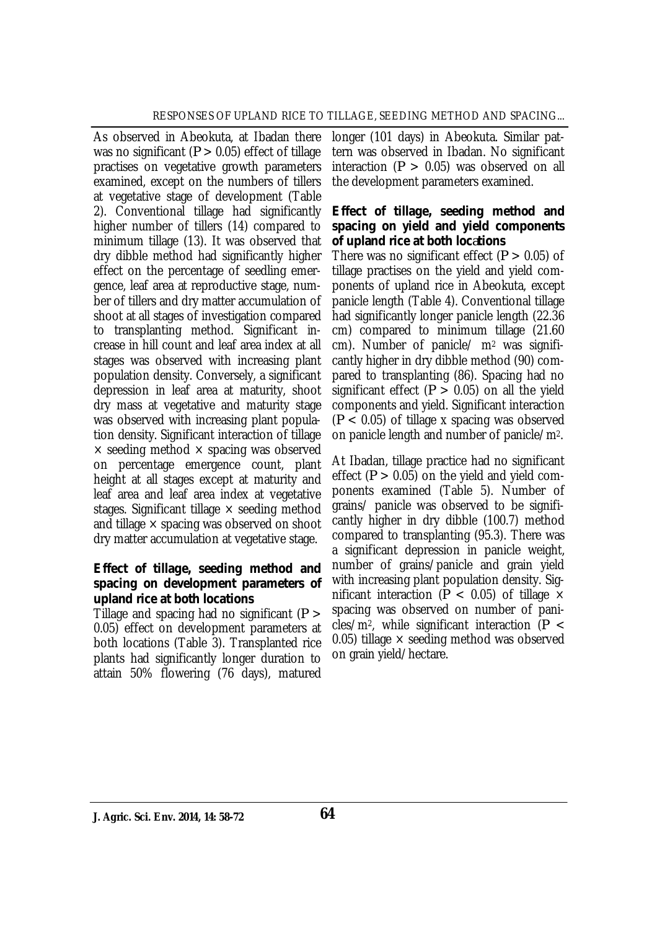As observed in Abeokuta, at Ibadan there was no significant (*P* > 0.05) effect of tillage practises on vegetative growth parameters examined, except on the numbers of tillers at vegetative stage of development (Table 2). Conventional tillage had significantly higher number of tillers (14) compared to minimum tillage (13). It was observed that dry dibble method had significantly higher effect on the percentage of seedling emergence, leaf area at reproductive stage, number of tillers and dry matter accumulation of shoot at all stages of investigation compared to transplanting method. Significant increase in hill count and leaf area index at all stages was observed with increasing plant population density. Conversely, a significant depression in leaf area at maturity, shoot dry mass at vegetative and maturity stage was observed with increasing plant population density. Significant interaction of tillage  $\times$  seeding method  $\times$  spacing was observed on percentage emergence count, plant height at all stages except at maturity and leaf area and leaf area index at vegetative stages. Significant tillage  $\times$  seeding method and tillage  $\times$  spacing was observed on shoot dry matter accumulation at vegetative stage.

#### *Effect of tillage, seeding method and spacing on development parameters of upland rice at both locations*

Tillage and spacing had no significant (*P* > 0.05) effect on development parameters at both locations (Table 3). Transplanted rice plants had significantly longer duration to attain 50% flowering (76 days), matured

longer (101 days) in Abeokuta. Similar pattern was observed in Ibadan. No significant interaction (*P* > 0.05) was observed on all the development parameters examined.

### *Effect of tillage, seeding method and spacing on yield and yield components of upland rice at both locations*

There was no significant effect (*P* > 0.05) of tillage practises on the yield and yield components of upland rice in Abeokuta, except panicle length (Table 4). Conventional tillage had significantly longer panicle length (22.36 cm) compared to minimum tillage (21.60 cm). Number of panicle/ m<sup>2</sup> was significantly higher in dry dibble method (90) compared to transplanting (86). Spacing had no significant effect  $(P > 0.05)$  on all the yield components and yield. Significant interaction (*P* < 0.05) of tillage x spacing was observed on panicle length and number of panicle/m2.

At Ibadan, tillage practice had no significant effect  $(P > 0.05)$  on the yield and yield components examined (Table 5). Number of grains/ panicle was observed to be significantly higher in dry dibble (100.7) method compared to transplanting (95.3). There was a significant depression in panicle weight, number of grains/panicle and grain yield with increasing plant population density. Significant interaction ( $P < 0.05$ ) of tillage  $\times$ spacing was observed on number of panicles/m2, while significant interaction (*P* < 0.05) tillage  $\times$  seeding method was observed on grain yield/hectare.

**J. Agric. Sci. Env. 2014, 14: 58-72 64**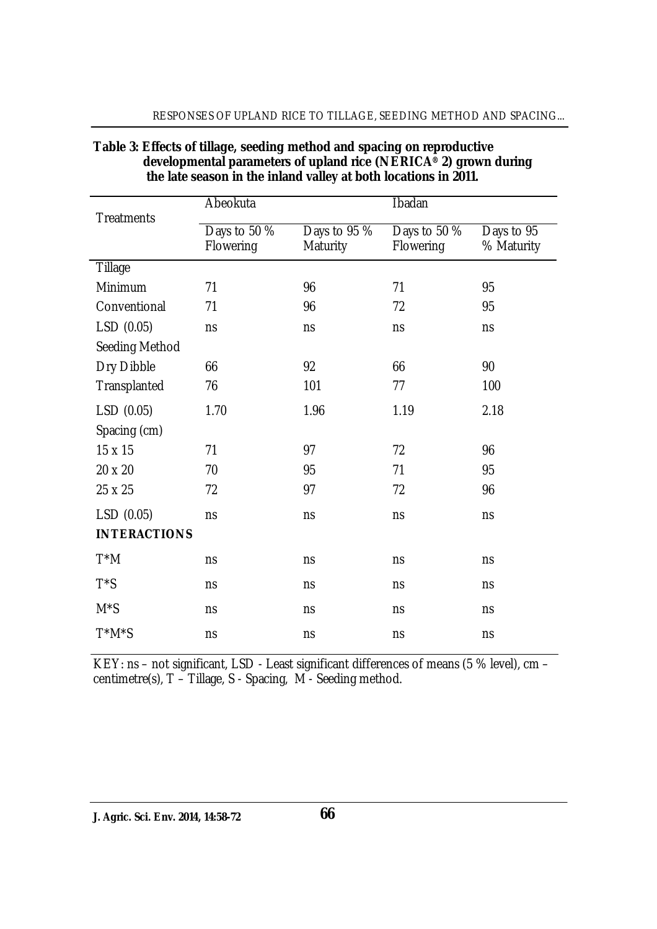|                     | Abeokuta     |              | <b>Ibadan</b> |            |
|---------------------|--------------|--------------|---------------|------------|
| <b>Treatments</b>   |              |              |               |            |
|                     | Days to 50 % | Days to 95 % | Days to 50 %  | Days to 95 |
|                     | Flowering    | Maturity     | Flowering     | % Maturity |
| Tillage             |              |              |               |            |
| Minimum             | 71           | 96           | 71            | 95         |
| Conventional        | 71           | 96           | 72            | 95         |
| LSD (0.05)          | ns           | ns           | ns            | ns         |
| Seeding Method      |              |              |               |            |
| Dry Dibble          | 66           | 92           | 66            | 90         |
| Transplanted        | 76           | 101          | 77            | 100        |
| LSD(0.05)           | 1.70         | 1.96         | 1.19          | 2.18       |
| Spacing (cm)        |              |              |               |            |
| 15 x 15             | 71           | 97           | 72            | 96         |
| 20 x 20             | 70           | 95           | 71            | 95         |
| 25 x 25             | 72           | 97           | 72            | 96         |
| LSD (0.05)          | ns           | ns           | ns            | ns         |
| <b>INTERACTIONS</b> |              |              |               |            |
| T*M                 | ns           | ns           | ns            | ns         |
| $T^*S$              | ns           | ns           | ns            | ns         |
| $M^*S$              | ns           | ns           | ns            | ns         |
| T*M*S               | ns           | ns           | ns            | ns         |

### **Table 3: Effects of tillage, seeding method and spacing on reproductive developmental parameters of upland rice (NERICA® 2) grown during the late season in the inland valley at both locations in 2011.**

RESPONSES OF UPLAND RICE TO TILLAGE, SEEDING METHOD AND SPACING...

KEY: ns – not significant, LSD - Least significant differences of means (5 % level), cm – centimetre(s), T – Tillage, S - Spacing, M - Seeding method.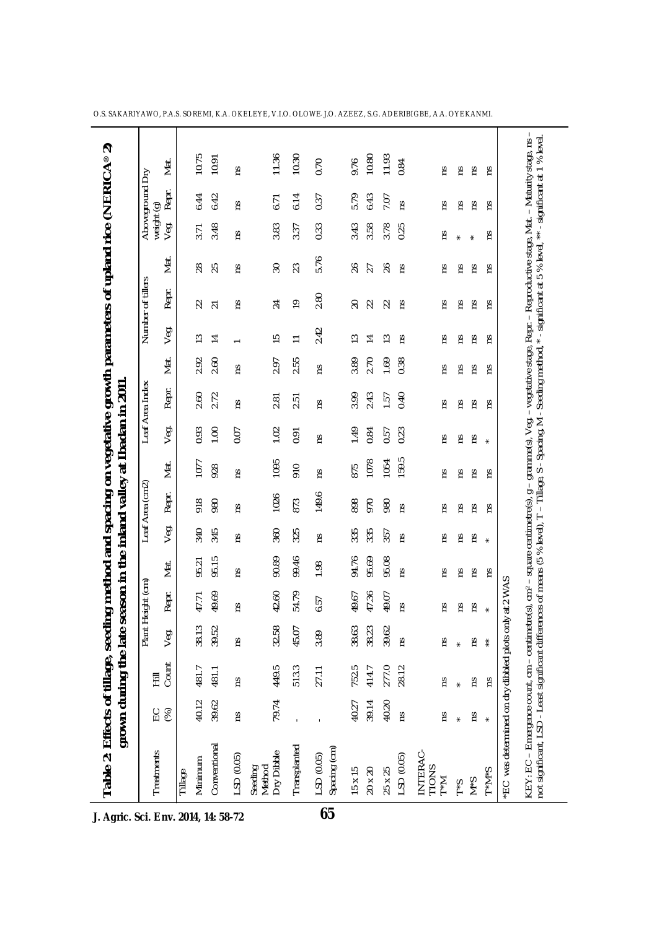| Table 2: Effects of tillage, seed                                                                                                                                                                                                                                                                                |       | grown during the late |       |              | ing method and spacing on vegetative growth parameters of upland rice (NERICA®<br>season in the inland valley at Ibadan in 2011 |              |                 |       |         |                 |      |                |                   |                |                                  |             | ล<br>                                                           |
|------------------------------------------------------------------------------------------------------------------------------------------------------------------------------------------------------------------------------------------------------------------------------------------------------------------|-------|-----------------------|-------|--------------|---------------------------------------------------------------------------------------------------------------------------------|--------------|-----------------|-------|---------|-----------------|------|----------------|-------------------|----------------|----------------------------------|-------------|-----------------------------------------------------------------|
|                                                                                                                                                                                                                                                                                                                  |       |                       | Plant | Height (cm   |                                                                                                                                 |              | Leaf Area (cm2) |       |         | Leaf Area Index |      |                | Number of tillers |                |                                  | Aboveground | δ                                                               |
| Treatments                                                                                                                                                                                                                                                                                                       | E 8   | Count<br>亖            | Veg.  | Repr.        | Mat.                                                                                                                            | Veg.         | Repr.           | Mat.  | Veg.    | Repr.           | Mat. | Veg.           | Repr.             | Mat.           | weight (g)<br>Vea. Repr.<br>Veg. |             | Mat                                                             |
| Tillage                                                                                                                                                                                                                                                                                                          |       |                       |       |              |                                                                                                                                 |              |                 |       |         |                 |      |                |                   |                |                                  |             |                                                                 |
| Minimum                                                                                                                                                                                                                                                                                                          | 40.12 | 481.7                 | 38.13 | 47.71        | 95.21                                                                                                                           | 340          | 918             | 1077  | 0.93    | 2.60            | 2.92 | $\tilde{1}$    | 22                | 28             | 3.71                             | 6.44        | 10.75                                                           |
| Conventional                                                                                                                                                                                                                                                                                                     | 39.62 | 481.1                 | 39.52 | 49.69        | 95.15                                                                                                                           | 345          | 980             | 928   | 1.00    | 2.72            | 2.60 | $\overline{1}$ | $\overline{21}$   | 25             | 3.48                             | 6.42        | 10.91                                                           |
| LSD (0.05)                                                                                                                                                                                                                                                                                                       | ΓS    | rs                    | ΓS    | ξ            | rs                                                                                                                              | ΓS           | ΓS              | rs    | 0.07    | rs              | ΓS   |                | rs                | rs             | Σů                               | rs          | rs                                                              |
| Dry Dibble<br>Seeding<br>Method                                                                                                                                                                                                                                                                                  | 79.74 | 449.5                 | 32.58 | 42.60        | 90.89                                                                                                                           | 360          | 1026            | 1095  | 1.02    | 2.81            | 2.97 | S              | 24                | $30\,$         | 3.83                             | 6.71        | 11.36                                                           |
| Transplanted                                                                                                                                                                                                                                                                                                     |       | 513.3                 | 45.07 | 54.79        | 99.46                                                                                                                           | 325          | 873             | 910   | 0.91    | 2.51            | 2.55 | $\overline{1}$ | $\overline{0}$    | 23             | 3.37                             | 6.14        | 10.30                                                           |
| Spacing (cm)<br>LSD (0.05)                                                                                                                                                                                                                                                                                       |       | 27.11                 | 3.89  | 6.57         | 1.98                                                                                                                            | Σ            | 149.6           | SJ    | Σ       | 51              | m    | 2.42           | 2.80              | 5.76           | 0.33                             | 0.37        | 0.70                                                            |
| 15 x 15                                                                                                                                                                                                                                                                                                          | 40.27 | 752.5                 | 38.63 | 49.67        | 94.76                                                                                                                           | 335          | 898             | 875   | 1.49    | 3.99            | 3.89 | က              | 20                | $\delta$       | 3.43                             | 5.79        | 9.76                                                            |
| $20\times20$                                                                                                                                                                                                                                                                                                     | 39.14 | 414.7                 | 38.23 | 47.36        | 95.69                                                                                                                           | 335          | 970             | 1078  | 0.84    | 2.43            | 2.70 | ᅼ              | 22                | 27             | 3.58                             | 6.43        | 10.80                                                           |
| 25 x 25                                                                                                                                                                                                                                                                                                          | 40.20 | 277.0                 | 39.62 | 49.07        | 95.08                                                                                                                           | 357          | 980             | 1054  | 0.57    | 1.57            | 1.69 | ≌              |                   | $\frac{26}{5}$ | 3.78                             | 7.07        | 11.93                                                           |
| LSD (0.05)                                                                                                                                                                                                                                                                                                       | ΓŚ    | 28.12                 | ξ     | ξ            | ξ                                                                                                                               | ξ            | ξ               | 159.5 | 0.23    | 0.40            | 0.38 | Έ              | ΓS                | Έ              | 0.25                             | ξ           | 0.84                                                            |
| INTERAC-<br>TIONS<br>T*M                                                                                                                                                                                                                                                                                         | S     | ξ                     | ξ     | r            | S                                                                                                                               | S,           | č               | č     | S,      | č               | Σ    | č              | Σ                 | Σq             | S                                | č           | S,                                                              |
| $S^*$                                                                                                                                                                                                                                                                                                            |       | $\star$               |       | m            | Σ                                                                                                                               | Σ            | S               | Σ     | Σ       | m               | Σ    | Σq             | m                 | Su             | $\star$                          | Σ           | Σ                                                               |
| $S^*M$                                                                                                                                                                                                                                                                                                           | ۲Ś    | Σq                    | Σq    | ΓS           | ξ                                                                                                                               | ξ            | m               | rε    | rε      | Έ               | m    | ξ              | Έ                 | ξ              |                                  | ξ           | ηs                                                              |
| $S^*M^*I$                                                                                                                                                                                                                                                                                                        |       | ΓS                    |       | $\pmb{\ast}$ | ΓS                                                                                                                              | $\pmb{\ast}$ | ξ               | ΓS    | $\star$ | Έ               | ΓS   | ΓS             | č                 | Έ              | Σq                               | č           | ΓS                                                              |
| *EC was determined on dry dibbled plots only at 2 WAS                                                                                                                                                                                                                                                            |       |                       |       |              |                                                                                                                                 |              |                 |       |         |                 |      |                |                   |                |                                  |             |                                                                 |
| KEY: EC - Emergence count, cm - centimetre(s), cm <sup>2</sup> - square centimetre(s), g - gramme(s), Veg. - vegetative stage, Repr. - Reproductive stage, Mat. - Maturity stage, ns<br>not significant, LSD - Least significant differences of means (5 % level), T - Tillage, S - Spacing, M - Seeding method, |       |                       |       |              |                                                                                                                                 |              |                 |       |         |                 |      |                |                   |                |                                  |             | -1<br>*-significant at 5 % level, ** - significant at 1 % level |
|                                                                                                                                                                                                                                                                                                                  |       |                       |       |              |                                                                                                                                 |              |                 |       |         |                 |      |                |                   |                |                                  |             |                                                                 |

O.S. SAKARIYAWO, P.A.S. SOREMI, K.A. OKELEYE, V.I.O. OLOWE, J.O. AZEEZ, S.G. ADERIBIGBE, A.A. OYEKANMI.

**J. Agric. Sci. Env. 2014, 14: 58-72**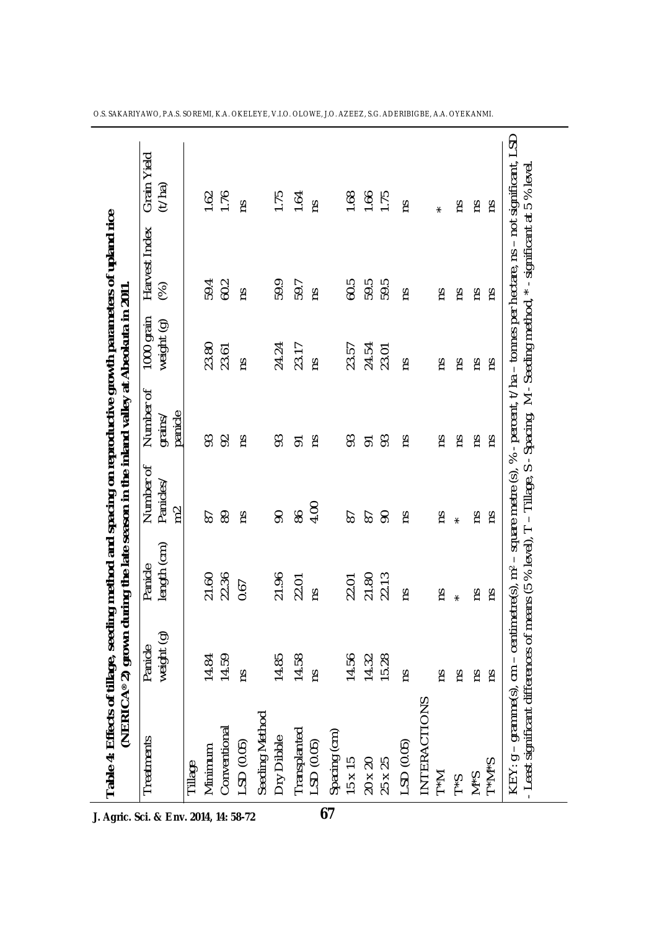| Treatments                 | weight (g)<br>Panicle | length (cm)<br>Panicle | Number of<br>Panicles.<br>$\approx$ | Number of<br>panicle<br>grains/ | 1000 grain<br>weight (g) | Harvest Index<br>$\mathcal{\mathcal{\mathcal{E}}}$ | Grain Yield<br>(t/ha) |
|----------------------------|-----------------------|------------------------|-------------------------------------|---------------------------------|--------------------------|----------------------------------------------------|-----------------------|
| Tillage                    |                       |                        |                                     |                                 |                          |                                                    |                       |
| Minimum                    |                       | 21.60                  | 67                                  |                                 | 23.80                    | 59.4                                               |                       |
| Conventional               | 14.84<br>14.59        | 22.36                  | 89                                  | 82                              | 23.61                    | 60.2                                               | $1.62$<br>1.76        |
| $-SD(0.05)$                | č                     | 0.67                   | č                                   | č                               | č                        | Σq                                                 | ξ                     |
| Seeding Method             |                       |                        |                                     |                                 |                          |                                                    |                       |
| Dry Dibble                 | 14.85                 | 21.96                  | 90                                  | 93                              | 24.24                    | 59.9                                               | 1.75                  |
|                            | 14.58                 | 22.01                  | 86                                  | $\overline{5}$                  | 23.17                    | 59.7                                               | 1.64                  |
| Transplanted<br>LSD (0.05) | Ω                     | Σũ                     | 4.00                                | č                               | Σù                       | Ωù                                                 | m                     |
| Spacing (cm)               |                       |                        |                                     |                                 |                          |                                                    |                       |
| $15 \times 15$             | 14.56                 | 22.01                  | 62                                  | 63                              | 23.57                    | 60.5                                               | 1.68                  |
|                            | 14.32                 | 21.80                  | 50                                  | <b>S</b> 23                     | 24.54                    | 59.5                                               | 1.66                  |
| 20 x 20<br>25 x 25         | 15.28                 | 22.13                  | $\infty$                            |                                 | 23.01                    | 59.5                                               | 1.75                  |
| $-SD(0.05)$                | Σù                    | Σù                     | Σů                                  | nς                              | č                        | <b>SU</b>                                          | č                     |
| INTERACTIONS               |                       |                        |                                     |                                 |                          |                                                    |                       |
| $T^*M$                     | Σů                    | Σq                     | Σq                                  | Σq                              | Su                       | č                                                  | $\star$               |
| $S^*$                      | SU                    | $\star$                | $\star$                             | Σq                              | ςu                       | ςu                                                 | SU                    |
| $S \star N$                | m                     | č                      | č                                   | Su                              | SU                       | Su                                                 | SU                    |
| $S^*M^*I$                  | Σů                    | Σũ                     | SJ                                  | SU                              | Σù                       | č                                                  | SJ                    |

O.S. SAKARIYAWO, P.A.S. SOREMI, K.A. OKELEYE, V.I.O. OLOWE, J.O. AZEEZ, S.G. ADERIBIGBE, A.A. OYEKANMI.

 $\overline{\phantom{a}}$ 

**J. Agric. Sci. & Env. 2014, 14: 58-72**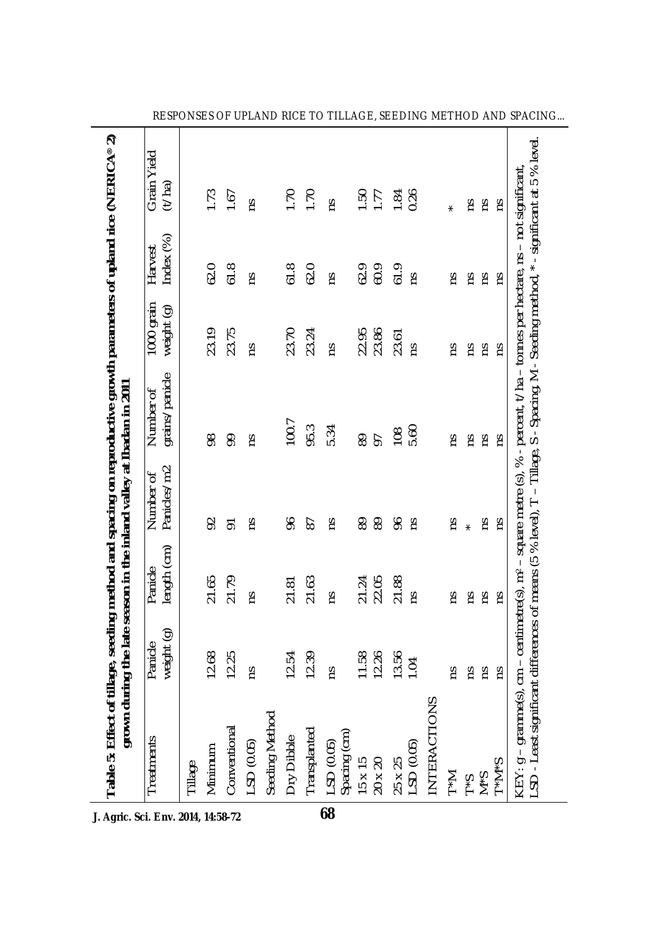| Table 5: Effect of tillage, seeding method and spacing on reproductive growth parameters of upland rice (NERICA® 2) |                       |                             | grown during the late season in the inland valley at Ibadan in 2011 |                                                                                                                                                          |                          |                     |                       |
|---------------------------------------------------------------------------------------------------------------------|-----------------------|-----------------------------|---------------------------------------------------------------------|----------------------------------------------------------------------------------------------------------------------------------------------------------|--------------------------|---------------------|-----------------------|
| Treatments                                                                                                          | weight (g)<br>Panicle | length (cm)<br>Panicle      | Panicles/m2<br>Number of                                            | grains/panicle<br>Number of                                                                                                                              | 1000 grain<br>weight (g) | ndex (%)<br>Harvest | Grain Yield<br>(1/ha) |
| Tillage                                                                                                             |                       |                             |                                                                     |                                                                                                                                                          |                          |                     |                       |
| Minimum                                                                                                             | 12.68                 | 21.65                       | $\mathcal{S}$                                                       | 8                                                                                                                                                        | 23.19                    | 62.0                | 1.73                  |
| Conventional                                                                                                        | 12.25                 | 21.79                       | 5                                                                   | 90                                                                                                                                                       | 23.75                    | 61.8                | 1.67                  |
| LSD (0.05)                                                                                                          | č                     | Ωù                          | Σ                                                                   | Σ                                                                                                                                                        | č                        | <b>SU</b>           | č                     |
| Seeding Method                                                                                                      |                       |                             |                                                                     |                                                                                                                                                          |                          |                     |                       |
| Dry Dibble                                                                                                          | 12.54                 | 21.81                       | 96                                                                  | 100.7                                                                                                                                                    | 23.70                    | 61.8                | 1.70                  |
| Transplanted                                                                                                        | 12.39                 | 21.63                       | 67                                                                  | 95.3                                                                                                                                                     | 23.24                    | 62.0                | 1.70                  |
| LSD (0.05)<br>Spacing (cm)                                                                                          | Σũ                    | Ωů                          | č                                                                   | 5.34                                                                                                                                                     | Ωů                       | ΩŚ                  | č                     |
|                                                                                                                     | 11.58                 |                             | 8                                                                   | 89                                                                                                                                                       | 22.95                    | 62.9                | 1.50                  |
| $\begin{array}{c} 15 \times 15 \\ 20 \times 20 \end{array}$                                                         | 12.26                 | 21.24<br>22.05              | 89                                                                  | 57                                                                                                                                                       | 23.86                    | 60.9                | 1.77                  |
| $25 \times 25$<br>LSD (0.05)                                                                                        | 13.56                 | 21.88                       | 96                                                                  | 108                                                                                                                                                      | 23.61                    | 61.9                | 1.84                  |
|                                                                                                                     | 104                   | č                           | Σ                                                                   | 5.60                                                                                                                                                     | Σù                       | ns                  | 0.26                  |
| NTERACTIONS                                                                                                         |                       |                             |                                                                     |                                                                                                                                                          |                          |                     |                       |
| $\sum_{\star}$                                                                                                      | ξŚ                    | Σũ                          | m                                                                   | č                                                                                                                                                        | Σů                       | Σů                  | $\star$               |
| $S^*$                                                                                                               | SU                    | Su                          | $\star$                                                             | SU                                                                                                                                                       | Su                       | SU                  | Su                    |
| $S^*M$                                                                                                              | m                     | ĩΩ                          | m                                                                   | Σq                                                                                                                                                       | Σq                       | Σq                  | SU                    |
| $S^*M^*I$                                                                                                           | č                     | Σũ                          | Σů                                                                  | č                                                                                                                                                        | Σũ                       | Σù                  | č                     |
| KEY: g – gramme(s), cm – centimetre(s), m <sup>2</sup> –<br>LSD - Least significant differences of means (5         |                       | of means (5 % level), $T -$ |                                                                     | Tillage, S - Spacing, M - Seeding method, * - significant at 5 % level<br>square metre (s), % - percent, t/ha – tonnes per hectare, ns – not significant |                          |                     |                       |

RESPONSES OF UPLAND RICE TO TILLAGE, SEEDING METHOD AND SPACING...

**J. Agric. Sci. Env. 2014, 14:58-72**

J.

**68**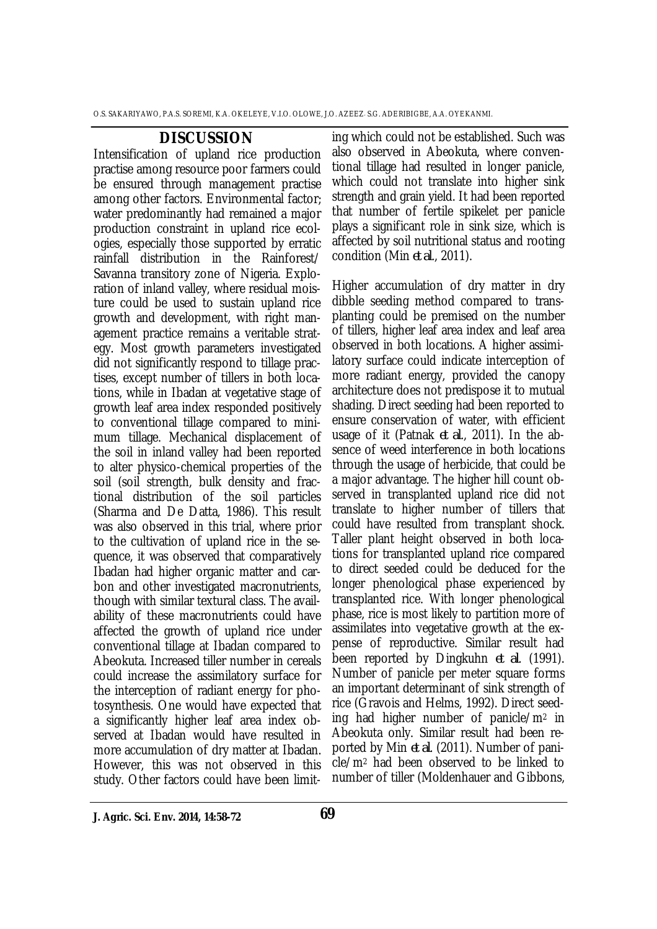#### **DISCUSSION**

Intensification of upland rice production practise among resource poor farmers could be ensured through management practise among other factors. Environmental factor; water predominantly had remained a major production constraint in upland rice ecologies, especially those supported by erratic rainfall distribution in the Rainforest/ Savanna transitory zone of Nigeria. Exploration of inland valley, where residual moisture could be used to sustain upland rice growth and development, with right management practice remains a veritable strategy. Most growth parameters investigated did not significantly respond to tillage practises, except number of tillers in both locations, while in Ibadan at vegetative stage of growth leaf area index responded positively to conventional tillage compared to minimum tillage. Mechanical displacement of the soil in inland valley had been reported to alter physico-chemical properties of the soil (soil strength, bulk density and fractional distribution of the soil particles (Sharma and De Datta, 1986). This result was also observed in this trial, where prior to the cultivation of upland rice in the sequence, it was observed that comparatively Ibadan had higher organic matter and carbon and other investigated macronutrients, though with similar textural class. The availability of these macronutrients could have affected the growth of upland rice under conventional tillage at Ibadan compared to Abeokuta. Increased tiller number in cereals could increase the assimilatory surface for the interception of radiant energy for photosynthesis. One would have expected that a significantly higher leaf area index observed at Ibadan would have resulted in more accumulation of dry matter at Ibadan. However, this was not observed in this study. Other factors could have been limit-

ing which could not be established. Such was also observed in Abeokuta, where conventional tillage had resulted in longer panicle, which could not translate into higher sink strength and grain yield. It had been reported that number of fertile spikelet per panicle plays a significant role in sink size, which is affected by soil nutritional status and rooting condition (Min *et al*., 2011).

Higher accumulation of dry matter in dry dibble seeding method compared to transplanting could be premised on the number of tillers, higher leaf area index and leaf area observed in both locations. A higher assimilatory surface could indicate interception of more radiant energy, provided the canopy architecture does not predispose it to mutual shading. Direct seeding had been reported to ensure conservation of water, with efficient usage of it (Patnak *et al*., 2011). In the absence of weed interference in both locations through the usage of herbicide, that could be a major advantage. The higher hill count observed in transplanted upland rice did not translate to higher number of tillers that could have resulted from transplant shock. Taller plant height observed in both locations for transplanted upland rice compared to direct seeded could be deduced for the longer phenological phase experienced by transplanted rice. With longer phenological phase, rice is most likely to partition more of assimilates into vegetative growth at the expense of reproductive. Similar result had been reported by Dingkuhn *et al*. (1991). Number of panicle per meter square forms an important determinant of sink strength of rice (Gravois and Helms, 1992). Direct seeding had higher number of panicle/m<sup>2</sup> in Abeokuta only. Similar result had been reported by Min *et al*. (2011). Number of panicle/m<sup>2</sup> had been observed to be linked to number of tiller (Moldenhauer and Gibbons,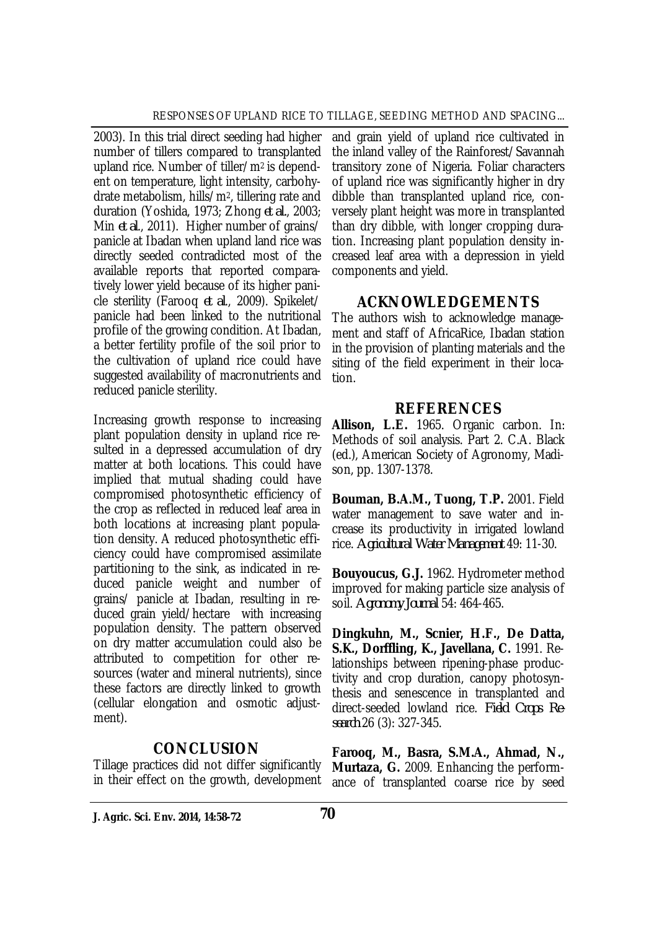2003). In this trial direct seeding had higher number of tillers compared to transplanted upland rice. Number of tiller/m2 is dependent on temperature, light intensity, carbohydrate metabolism, hills/m2, tillering rate and duration (Yoshida, 1973; Zhong *et al.*, 2003; Min *et al*., 2011). Higher number of grains/ panicle at Ibadan when upland land rice was directly seeded contradicted most of the available reports that reported comparatively lower yield because of its higher panicle sterility (Farooq *et al*., 2009). Spikelet/ panicle had been linked to the nutritional profile of the growing condition. At Ibadan, a better fertility profile of the soil prior to the cultivation of upland rice could have suggested availability of macronutrients and reduced panicle sterility.

Increasing growth response to increasing plant population density in upland rice resulted in a depressed accumulation of dry matter at both locations. This could have implied that mutual shading could have compromised photosynthetic efficiency of the crop as reflected in reduced leaf area in both locations at increasing plant population density. A reduced photosynthetic efficiency could have compromised assimilate partitioning to the sink, as indicated in reduced panicle weight and number of grains/ panicle at Ibadan, resulting in reduced grain yield/hectare with increasing population density. The pattern observed on dry matter accumulation could also be attributed to competition for other resources (water and mineral nutrients), since these factors are directly linked to growth (cellular elongation and osmotic adjustment).

## **CONCLUSION**

Tillage practices did not differ significantly in their effect on the growth, development and grain yield of upland rice cultivated in the inland valley of the Rainforest/Savannah transitory zone of Nigeria. Foliar characters of upland rice was significantly higher in dry dibble than transplanted upland rice, conversely plant height was more in transplanted than dry dibble, with longer cropping duration. Increasing plant population density increased leaf area with a depression in yield components and yield.

## **ACKNOWLEDGEMENTS**

The authors wish to acknowledge management and staff of AfricaRice, Ibadan station in the provision of planting materials and the siting of the field experiment in their location.

## **REFERENCES**

**Allison, L.E.** 1965. Organic carbon. In: Methods of soil analysis. Part 2. C.A. Black (ed.), American Society of Agronomy, Madison, pp. 1307-1378.

**Bouman, B.A.M., Tuong, T.P.** 2001. Field water management to save water and increase its productivity in irrigated lowland rice. *Agricultural Water Management* 49: 11-30.

**Bouyoucus, G.J.** 1962. Hydrometer method improved for making particle size analysis of soil. *Agronomy Journal* 54: 464-465.

**Dingkuhn, M., Scnier, H.F., De Datta, S.K., Dorffling, K., Javellana, C.** 1991. Relationships between ripening-phase productivity and crop duration, canopy photosynthesis and senescence in transplanted and direct-seeded lowland rice. *Field Crops Research* 26 (3): 327-345.

**Farooq, M., Basra, S.M.A., Ahmad, N., Murtaza, G.** 2009. Enhancing the performance of transplanted coarse rice by seed

**J. Agric. Sci. Env. 2014, 14:58-72 70**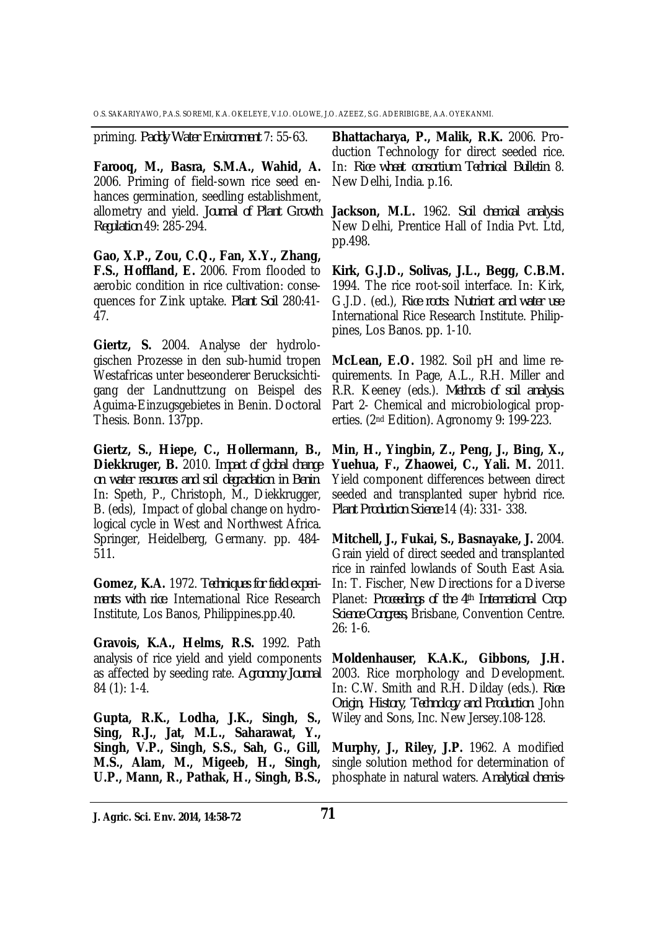priming. *Paddy Water Environment* 7: 55-63.

**Farooq, M., Basra, S.M.A., Wahid, A.** 2006. Priming of field-sown rice seed enhances germination, seedling establishment, allometry and yield. *Journal of Plant Growth Regulation* 49: 285-294.

**Gao, X.P., Zou, C.Q., Fan, X.Y., Zhang, F.S., Hoffland, E.** 2006. From flooded to aerobic condition in rice cultivation: consequences for Zink uptake. *Plant Soil* 280:41- 47.

**Giertz, S.** 2004. Analyse der hydrologischen Prozesse in den sub-humid tropen Westafricas unter beseonderer Berucksichtigang der Landnuttzung on Beispel des Aguima-Einzugsgebietes in Benin. Doctoral Thesis. Bonn. 137pp.

**Giertz, S., Hiepe, C., Hollermann, B., Diekkruger, B.** 2010. *Impact of global change on water resources and soil degradation in Benin*. In: Speth, P., Christoph, M., Diekkrugger, B. (eds), Impact of global change on hydrological cycle in West and Northwest Africa. Springer, Heidelberg, Germany. pp. 484- 511.

**Gomez, K.A.** 1972. *Techniques for field experiments with rice*. International Rice Research Institute, Los Banos, Philippines.pp.40.

**Gravois, K.A., Helms, R.S.** 1992. Path analysis of rice yield and yield components as affected by seeding rate. *Agronomy Journal* 84 (1): 1-4.

**Gupta, R.K., Lodha, J.K., Singh, S., Sing, R.J., Jat, M.L., Saharawat, Y., Singh, V.P., Singh, S.S., Sah, G., Gill, M.S., Alam, M., Migeeb, H., Singh, U.P., Mann, R., Pathak, H., Singh, B.S.,** 

**Bhattacharya, P., Malik, R.K.** 2006. Production Technology for direct seeded rice. In: *Rice wheat consortium Technical Bulletin* 8. New Delhi, India. p.16.

**Jackson, M.L.** 1962. *Soil chemical analysis*. New Delhi, Prentice Hall of India Pvt. Ltd, pp.498.

**Kirk, G.J.D., Solivas, J.L., Begg, C.B.M.** 1994. The rice root-soil interface. In: Kirk, G.J.D. (ed.), *Rice roots: Nutrient and water use*. International Rice Research Institute. Philippines, Los Banos. pp. 1-10.

**McLean, E.O.** 1982. Soil pH and lime requirements. In Page, A.L., R.H. Miller and R.R. Keeney (eds.). *Methods of soil analysis.*  Part 2- Chemical and microbiological properties. (2nd Edition). Agronomy 9: 199-223.

**Min, H., Yingbin, Z., Peng, J., Bing, X., Yuehua, F., Zhaowei, C., Yali. M.** 2011. Yield component differences between direct seeded and transplanted super hybrid rice. *Plant Production Science* 14 (4): 331- 338.

**Mitchell, J., Fukai, S., Basnayake, J.** 2004. Grain yield of direct seeded and transplanted rice in rainfed lowlands of South East Asia. In: T. Fischer, New Directions for a Diverse Planet: *Proceedings of the 4th International Crop Science Congress,* Brisbane, Convention Centre. 26: 1-6.

**Moldenhauser, K.A.K., Gibbons, J.H.** 2003. Rice morphology and Development. In: C.W. Smith and R.H. Dilday (eds.). *Rice: Origin, History, Technology and Production*. John Wiley and Sons, Inc. New Jersey.108-128.

**Murphy, J., Riley, J.P.** 1962. A modified single solution method for determination of phosphate in natural waters. *Analytical chemis-*

**J. Agric. Sci. Env. 2014, 14:58-72 71**